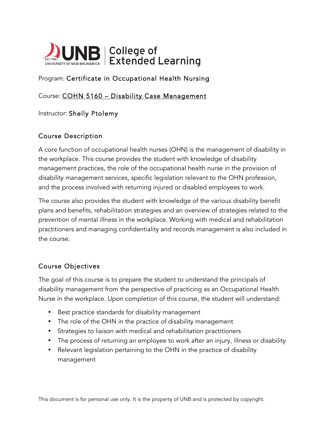

# Program: Certificate in Occupational Health Nursing

### Course: COHN 5160 – Disability Case Management

Instructor: Shelly Ptolemy

## Course Description

A core function of occupational health nurses (OHN) is the management of disability in the workplace. This course provides the student with knowledge of disability management practices, the role of the occupational health nurse in the provision of disability management services, specific legislation relevant to the OHN profession, and the process involved with returning injured or disabled employees to work.

The course also provides the student with knowledge of the various disability benefit plans and benefits, rehabilitation strategies and an overview of strategies related to the prevention of mental illness in the workplace. Working with medical and rehabilitation practitioners and managing confidentiality and records management is also included in the course.

# Course Objectives

The goal of this course is to prepare the student to understand the principals of disability management from the perspective of practicing as an Occupational Health Nurse in the workplace. Upon completion of this course, the student will understand:

- Best practice standards for disability management
- The role of the OHN in the practice of disability management
- Strategies to liaison with medical and rehabilitation practitioners
- The process of returning an employee to work after an injury, illness or disability
- Relevant legislation pertaining to the OHN in the practice of disability management